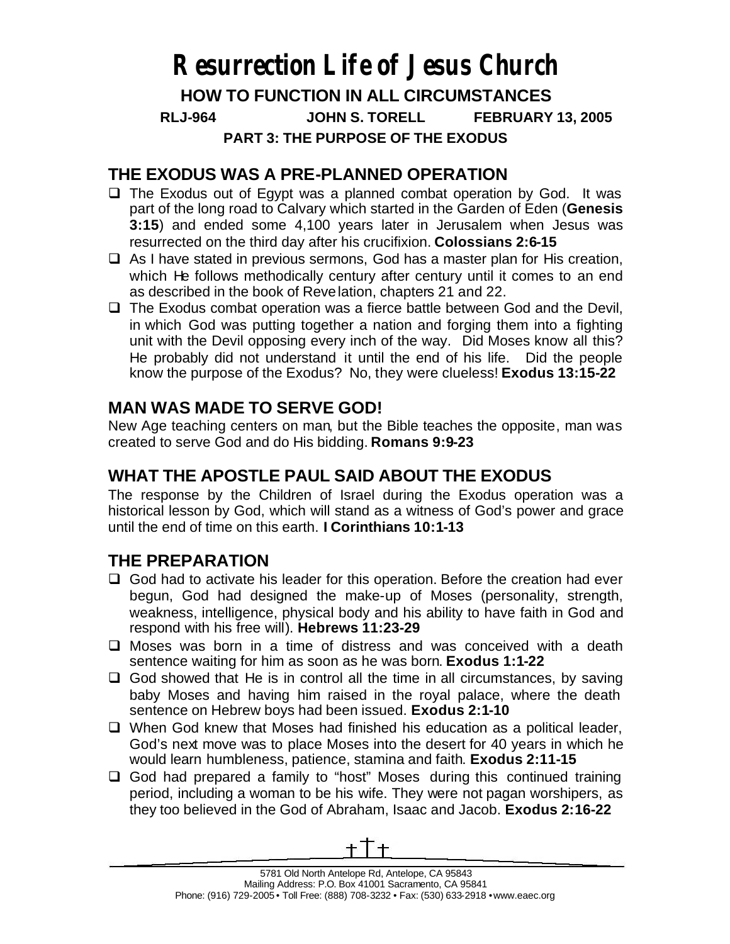# **Resurrection Life of Jesus Church HOW TO FUNCTION IN ALL CIRCUMSTANCES RLJ-964 JOHN S. TORELL FEBRUARY 13, 2005 PART 3: THE PURPOSE OF THE EXODUS**

#### **THE EXODUS WAS A PRE-PLANNED OPERATION**

- $\Box$  The Exodus out of Egypt was a planned combat operation by God. It was part of the long road to Calvary which started in the Garden of Eden (**Genesis 3:15**) and ended some 4,100 years later in Jerusalem when Jesus was resurrected on the third day after his crucifixion. **Colossians 2:6-15**
- $\Box$  As I have stated in previous sermons, God has a master plan for His creation, which He follows methodically century after century until it comes to an end as described in the book of Revelation, chapters 21 and 22.
- $\Box$  The Exodus combat operation was a fierce battle between God and the Devil, in which God was putting together a nation and forging them into a fighting unit with the Devil opposing every inch of the way. Did Moses know all this? He probably did not understand it until the end of his life. Did the people know the purpose of the Exodus? No, they were clueless! **Exodus 13:15-22**

### **MAN WAS MADE TO SERVE GOD!**

New Age teaching centers on man, but the Bible teaches the opposite, man was created to serve God and do His bidding. **Romans 9:9-23**

## **WHAT THE APOSTLE PAUL SAID ABOUT THE EXODUS**

The response by the Children of Israel during the Exodus operation was a historical lesson by God, which will stand as a witness of God's power and grace until the end of time on this earth. **I Corinthians 10:1-13**

#### **THE PREPARATION**

- $\Box$  God had to activate his leader for this operation. Before the creation had ever begun, God had designed the make-up of Moses (personality, strength, weakness, intelligence, physical body and his ability to have faith in God and respond with his free will). **Hebrews 11:23-29**
- $\square$  Moses was born in a time of distress and was conceived with a death sentence waiting for him as soon as he was born. **Exodus 1:1-22**
- $\Box$  God showed that He is in control all the time in all circumstances, by saving baby Moses and having him raised in the royal palace, where the death sentence on Hebrew boys had been issued. **Exodus 2:1-10**
- $\Box$  When God knew that Moses had finished his education as a political leader, God's next move was to place Moses into the desert for 40 years in which he would learn humbleness, patience, stamina and faith. **Exodus 2:11-15**
- $\Box$  God had prepared a family to "host" Moses during this continued training period, including a woman to be his wife. They were not pagan worshipers, as they too believed in the God of Abraham, Isaac and Jacob. **Exodus 2:16-22**